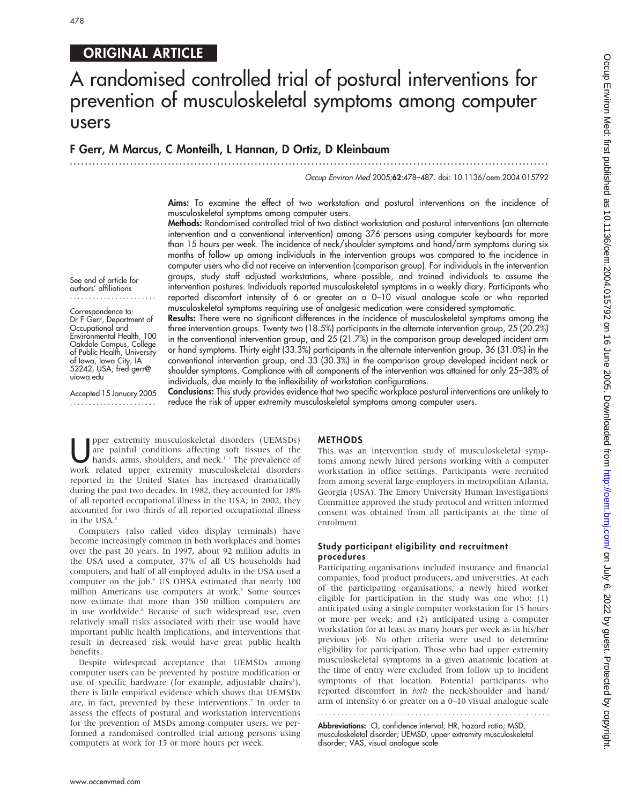# ORIGINAL ARTICLE

# A randomised controlled trial of postural interventions for prevention of musculoskeletal symptoms among computer users

# F Gerr, M Marcus, C Monteilh, L Hannan, D Ortiz, D Kleinbaum

...............................................................................................................................

Occup Environ Med 2005;62:478–487. doi: 10.1136/oem.2004.015792

Aims: To examine the effect of two workstation and postural interventions on the incidence of musculoskeletal symptoms among computer users.

Methods: Randomised controlled trial of two distinct workstation and postural interventions (an alternate intervention and a conventional intervention) among 376 persons using computer keyboards for more than 15 hours per week. The incidence of neck/shoulder symptoms and hand/arm symptoms during six months of follow up among individuals in the intervention groups was compared to the incidence in computer users who did not receive an intervention (comparison group). For individuals in the intervention groups, study staff adjusted workstations, where possible, and trained individuals to assume the intervention postures. Individuals reported musculoskeletal symptoms in a weekly diary. Participants who reported discomfort intensity of 6 or greater on a 0–10 visual analogue scale or who reported musculoskeletal symptoms requiring use of analgesic medication were considered symptomatic.

Results: There were no significant differences in the incidence of musculoskeletal symptoms among the three intervention groups. Twenty two (18.5%) participants in the alternate intervention group, 25 (20.2%) in the conventional intervention group, and 25 (21.7%) in the comparison group developed incident arm or hand symptoms. Thirty eight (33.3%) participants in the alternate intervention group, 36 (31.0%) in the

See end of article for authors' affiliations .......................

Correspondence to: Dr F Gerr, Department of Occupational and Environmental Health, 100 Oakdale Campus, College of Public Health, University of Iowa, Iowa City, IA 52242, USA; fred-gerr@ uiowa.edu

Accepted 15 January 2005 .......................

conventional intervention group, and 33 (30.3%) in the comparison group developed incident neck or shoulder symptoms. Compliance with all components of the intervention was attained for only 25–38% of individuals, due mainly to the inflexibility of workstation configurations. Conclusions: This study provides evidence that two specific workplace postural interventions are unlikely to

reduce the risk of upper extremity musculoskeletal symptoms among computer users.

pper extremity musculoskeletal disorders (UEMSDs)<br>are painful conditions affecting soft tissues of the<br>hands, arms, shoulders, and neck.<sup>1,2</sup> The prevalence of<br>work, related, upper, extremity, musculoskeletal, disorders are painful conditions affecting soft tissues of the work related upper extremity musculoskeletal disorders reported in the United States has increased dramatically during the past two decades. In 1982, they accounted for 18% of all reported occupational illness in the USA; in 2002, they accounted for two thirds of all reported occupational illness in the USA.<sup>3</sup>

Computers (also called video display terminals) have become increasingly common in both workplaces and homes over the past 20 years. In 1997, about 92 million adults in the USA used a computer, 37% of all US households had computers, and half of all employed adults in the USA used a computer on the job.<sup>4</sup> US OHSA estimated that nearly 100 million Americans use computers at work.<sup>5</sup> Some sources now estimate that more than 350 million computers are in use worldwide.<sup>6</sup> Because of such widespread use, even relatively small risks associated with their use would have important public health implications, and interventions that result in decreased risk would have great public health benefits.

Despite widespread acceptance that UEMSDs among computer users can be prevented by posture modification or use of specific hardware (for example, adjustable chairs<sup>5</sup>), there is little empirical evidence which shows that UEMSDs are, in fact, prevented by these interventions.<sup>7</sup> In order to assess the effects of postural and workstation interventions for the prevention of MSDs among computer users, we performed a randomised controlled trial among persons using computers at work for 15 or more hours per week.

#### METHODS

This was an intervention study of musculoskeletal symptoms among newly hired persons working with a computer workstation in office settings. Participants were recruited from among several large employers in metropolitan Atlanta, Georgia (USA). The Emory University Human Investigations Committee approved the study protocol and written informed consent was obtained from all participants at the time of enrolment.

# Study participant eligibility and recruitment procedures

Participating organisations included insurance and financial companies, food product producers, and universities. At each of the participating organisations, a newly hired worker eligible for participation in the study was one who: (1) anticipated using a single computer workstation for 15 hours or more per week; and (2) anticipated using a computer workstation for at least as many hours per week as in his/her previous job. No other criteria were used to determine eligibility for participation. Those who had upper extremity musculoskeletal symptoms in a given anatomic location at the time of entry were excluded from follow up to incident symptoms of that location. Potential participants who reported discomfort in both the neck/shoulder and hand/ arm of intensity 6 or greater on a 0–10 visual analogue scale 

Abbreviations: CI, confidence interval; HR, hazard ratio; MSD, musculoskeletal disorder; UEMSD, upper extremity musculoskeletal disorder; VAS, visual analogue scale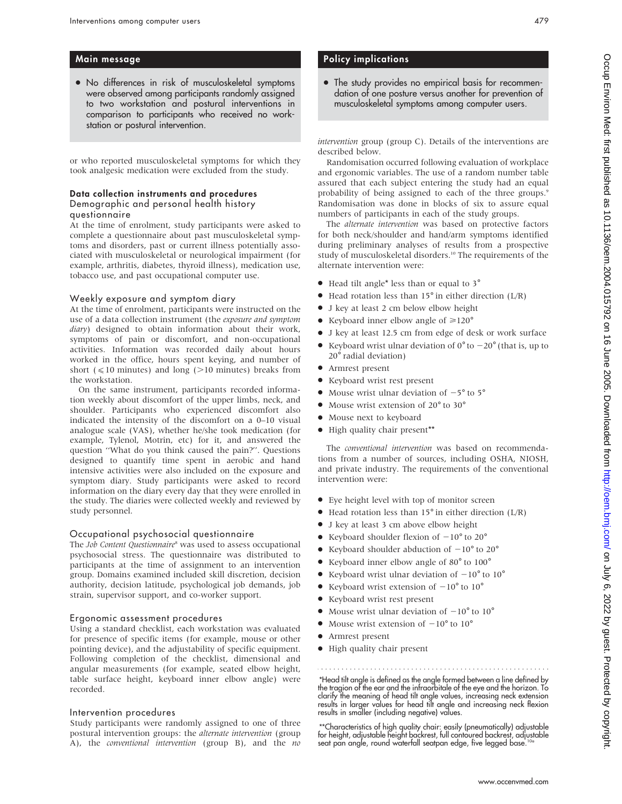# Main message

• No differences in risk of musculoskeletal symptoms were observed among participants randomly assigned to two workstation and postural interventions in comparison to participants who received no workstation or postural intervention.

or who reported musculoskeletal symptoms for which they took analgesic medication were excluded from the study.

#### Data collection instruments and procedures Demographic and personal health history questionnaire

At the time of enrolment, study participants were asked to complete a questionnaire about past musculoskeletal symptoms and disorders, past or current illness potentially associated with musculoskeletal or neurological impairment (for example, arthritis, diabetes, thyroid illness), medication use, tobacco use, and past occupational computer use.

#### Weekly exposure and symptom diary

At the time of enrolment, participants were instructed on the use of a data collection instrument (the exposure and symptom diary) designed to obtain information about their work, symptoms of pain or discomfort, and non-occupational activities. Information was recorded daily about hours worked in the office, hours spent keying, and number of short ( $\leq 10$  minutes) and long ( $>10$  minutes) breaks from the workstation.

On the same instrument, participants recorded information weekly about discomfort of the upper limbs, neck, and shoulder. Participants who experienced discomfort also indicated the intensity of the discomfort on a 0–10 visual analogue scale (VAS), whether he/she took medication (for example, Tylenol, Motrin, etc) for it, and answered the question ''What do you think caused the pain?''. Questions designed to quantify time spent in aerobic and hand intensive activities were also included on the exposure and symptom diary. Study participants were asked to record information on the diary every day that they were enrolled in the study. The diaries were collected weekly and reviewed by study personnel.

#### Occupational psychosocial questionnaire

The Job Content Questionnaire<sup>8</sup> was used to assess occupational psychosocial stress. The questionnaire was distributed to participants at the time of assignment to an intervention group. Domains examined included skill discretion, decision authority, decision latitude, psychological job demands, job strain, supervisor support, and co-worker support.

## Ergonomic assessment procedures

Using a standard checklist, each workstation was evaluated for presence of specific items (for example, mouse or other pointing device), and the adjustability of specific equipment. Following completion of the checklist, dimensional and angular measurements (for example, seated elbow height, table surface height, keyboard inner elbow angle) were recorded.

#### Intervention procedures

Study participants were randomly assigned to one of three postural intervention groups: the alternate intervention (group A), the conventional intervention (group B), and the no

# Policy implications

• The study provides no empirical basis for recommendation of one posture versus another for prevention of musculoskeletal symptoms among computer users.

intervention group (group C). Details of the interventions are described below.

Randomisation occurred following evaluation of workplace and ergonomic variables. The use of a random number table assured that each subject entering the study had an equal probability of being assigned to each of the three groups.<sup>9</sup> Randomisation was done in blocks of six to assure equal numbers of participants in each of the study groups.

The alternate intervention was based on protective factors for both neck/shoulder and hand/arm symptoms identified during preliminary analyses of results from a prospective study of musculoskeletal disorders.<sup>10</sup> The requirements of the alternate intervention were:

- Head tilt angle\* less than or equal to 3°
- $\bullet$  Head rotation less than 15 $\degree$  in either direction (L/R)
- $\bullet$  J key at least 2 cm below elbow height
- Keyboard inner elbow angle of  $\geq 120^\circ$
- N J key at least 12.5 cm from edge of desk or work surface
- Keyboard wrist ulnar deviation of  $0^{\circ}$  to  $-20^{\circ}$  (that is, up to 20˚radial deviation)
- $\bullet$  Armrest present
- Keyboard wrist rest present
- Mouse wrist ulnar deviation of  $-5^\circ$  to  $5^\circ$
- Mouse wrist extension of 20<sup>°</sup> to 30<sup>°</sup>
- $\bullet$  Mouse next to keyboard
- High quality chair present\*\*

The conventional intervention was based on recommendations from a number of sources, including OSHA, NIOSH, and private industry. The requirements of the conventional intervention were:

- N Eye height level with top of monitor screen
- $\bullet$  Head rotation less than 15 $\degree$  in either direction (L/R)
- J key at least 3 cm above elbow height
- Keyboard shoulder flexion of  $-10^{\circ}$  to 20 $^{\circ}$
- Keyboard shoulder abduction of  $-10^{\circ}$  to 20 $^{\circ}$
- Keyboard inner elbow angle of 80° to 100°
- Keyboard wrist ulnar deviation of  $-10^{\circ}$  to  $10^{\circ}$
- Keyboard wrist extension of  $-10^{\circ}$  to  $10^{\circ}$
- Keyboard wrist rest present
- Mouse wrist ulnar deviation of  $-10^{\circ}$  to  $10^{\circ}$
- Mouse wrist extension of  $-10^{\circ}$  to  $10^{\circ}$
- Armrest present
- High quality chair present

\*Head tilt angle is defined as the angle formed between a line defined by the tragion of the ear and the infraorbitale of the eye and the horizon. To clarify the meaning of head tilt angle values, increasing neck extension results in larger values for head tilt angle and increasing neck flexion results in smaller (including negative) values.

\*\*Characteristics of high quality chair: easily (pneumatically) adjustable for height, adjustable height backrest, full contoured backrest, adjustable seat pan angle, round waterfall seatpan edge, five legged base.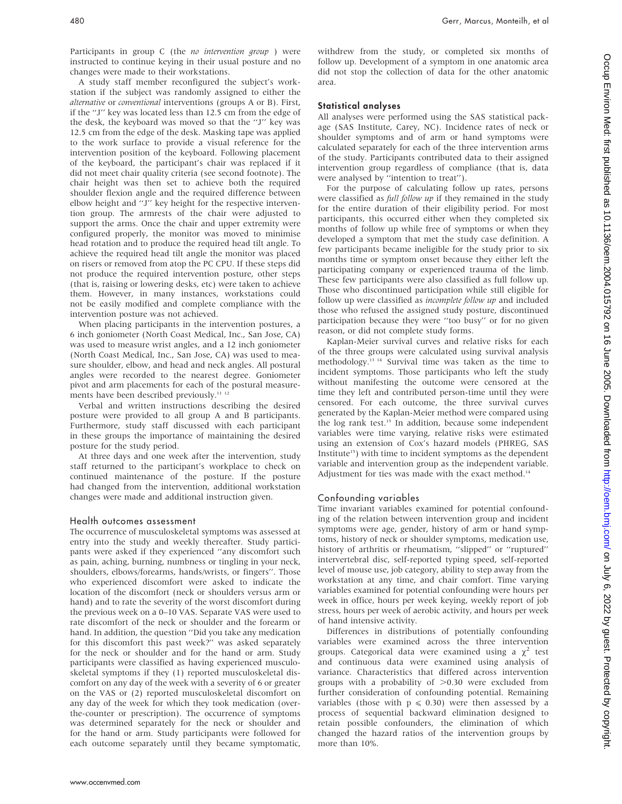Participants in group C (the no intervention group ) were instructed to continue keying in their usual posture and no changes were made to their workstations.

A study staff member reconfigured the subject's workstation if the subject was randomly assigned to either the alternative or conventional interventions (groups A or B). First, if the ''J'' key was located less than 12.5 cm from the edge of the desk, the keyboard was moved so that the "J" key was 12.5 cm from the edge of the desk. Masking tape was applied to the work surface to provide a visual reference for the intervention position of the keyboard. Following placement of the keyboard, the participant's chair was replaced if it did not meet chair quality criteria (see second footnote). The chair height was then set to achieve both the required shoulder flexion angle and the required difference between elbow height and ''J'' key height for the respective intervention group. The armrests of the chair were adjusted to support the arms. Once the chair and upper extremity were configured properly, the monitor was moved to minimise head rotation and to produce the required head tilt angle. To achieve the required head tilt angle the monitor was placed on risers or removed from atop the PC CPU. If these steps did not produce the required intervention posture, other steps (that is, raising or lowering desks, etc) were taken to achieve them. However, in many instances, workstations could not be easily modified and complete compliance with the intervention posture was not achieved.

When placing participants in the intervention postures, a 6 inch goniometer (North Coast Medical, Inc., San Jose, CA) was used to measure wrist angles, and a 12 inch goniometer (North Coast Medical, Inc., San Jose, CA) was used to measure shoulder, elbow, and head and neck angles. All postural angles were recorded to the nearest degree. Goniometer pivot and arm placements for each of the postural measurements have been described previously.<sup>11-12</sup>

Verbal and written instructions describing the desired posture were provided to all group A and B participants. Furthermore, study staff discussed with each participant in these groups the importance of maintaining the desired posture for the study period.

At three days and one week after the intervention, study staff returned to the participant's workplace to check on continued maintenance of the posture. If the posture had changed from the intervention, additional workstation changes were made and additional instruction given.

#### Health outcomes assessment

The occurrence of musculoskeletal symptoms was assessed at entry into the study and weekly thereafter. Study participants were asked if they experienced ''any discomfort such as pain, aching, burning, numbness or tingling in your neck, shoulders, elbows/forearms, hands/wrists, or fingers''. Those who experienced discomfort were asked to indicate the location of the discomfort (neck or shoulders versus arm or hand) and to rate the severity of the worst discomfort during the previous week on a 0–10 VAS. Separate VAS were used to rate discomfort of the neck or shoulder and the forearm or hand. In addition, the question ''Did you take any medication for this discomfort this past week?'' was asked separately for the neck or shoulder and for the hand or arm. Study participants were classified as having experienced musculoskeletal symptoms if they (1) reported musculoskeletal discomfort on any day of the week with a severity of 6 or greater on the VAS or (2) reported musculoskeletal discomfort on any day of the week for which they took medication (overthe-counter or prescription). The occurrence of symptoms was determined separately for the neck or shoulder and for the hand or arm. Study participants were followed for each outcome separately until they became symptomatic, withdrew from the study, or completed six months of follow up. Development of a symptom in one anatomic area did not stop the collection of data for the other anatomic area.

### Statistical analyses

All analyses were performed using the SAS statistical package (SAS Institute, Carey, NC). Incidence rates of neck or shoulder symptoms and of arm or hand symptoms were calculated separately for each of the three intervention arms of the study. Participants contributed data to their assigned intervention group regardless of compliance (that is, data were analysed by ''intention to treat'').

For the purpose of calculating follow up rates, persons were classified as *full follow up* if they remained in the study for the entire duration of their eligibility period. For most participants, this occurred either when they completed six months of follow up while free of symptoms or when they developed a symptom that met the study case definition. A few participants became ineligible for the study prior to six months time or symptom onset because they either left the participating company or experienced trauma of the limb. These few participants were also classified as full follow up. Those who discontinued participation while still eligible for follow up were classified as incomplete follow up and included those who refused the assigned study posture, discontinued participation because they were ''too busy'' or for no given reason, or did not complete study forms.

Kaplan-Meier survival curves and relative risks for each of the three groups were calculated using survival analysis methodology.13 14 Survival time was taken as the time to incident symptoms. Those participants who left the study without manifesting the outcome were censored at the time they left and contributed person-time until they were censored. For each outcome, the three survival curves generated by the Kaplan-Meier method were compared using the log rank test.<sup>15</sup> In addition, because some independent variables were time varying, relative risks were estimated using an extension of Cox's hazard models (PHREG, SAS Institute<sup>15</sup>) with time to incident symptoms as the dependent variable and intervention group as the independent variable. Adjustment for ties was made with the exact method.<sup>14</sup>

# Confounding variables

Time invariant variables examined for potential confounding of the relation between intervention group and incident symptoms were age, gender, history of arm or hand symptoms, history of neck or shoulder symptoms, medication use, history of arthritis or rheumatism, ''slipped'' or ''ruptured'' intervertebral disc, self-reported typing speed, self-reported level of mouse use, job category, ability to step away from the workstation at any time, and chair comfort. Time varying variables examined for potential confounding were hours per week in office, hours per week keying, weekly report of job stress, hours per week of aerobic activity, and hours per week of hand intensive activity.

Differences in distributions of potentially confounding variables were examined across the three intervention groups. Categorical data were examined using a  $\chi^2$  test and continuous data were examined using analysis of variance. Characteristics that differed across intervention groups with a probability of  $>0.30$  were excluded from further consideration of confounding potential. Remaining variables (those with  $p \le 0.30$ ) were then assessed by a process of sequential backward elimination designed to retain possible confounders, the elimination of which changed the hazard ratios of the intervention groups by more than 10%.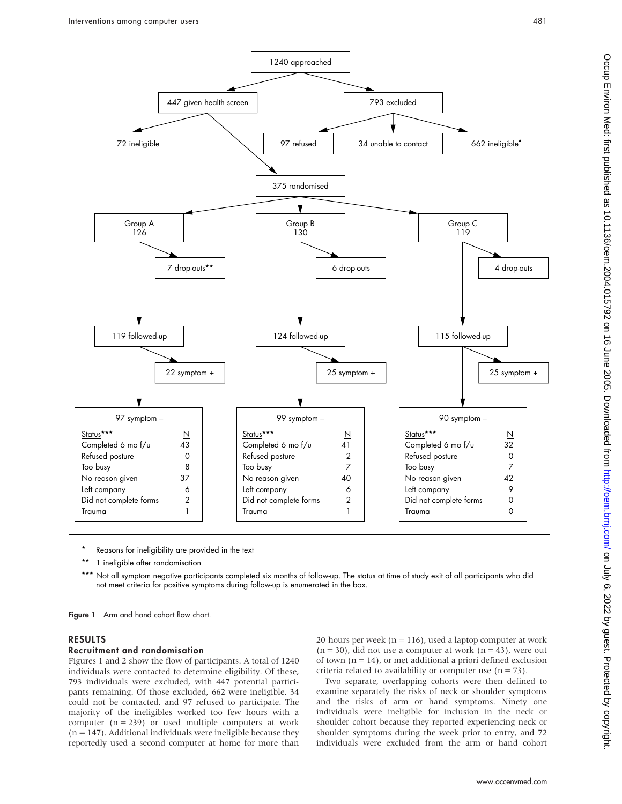447 given health screen

7 drop-outs\*\*

22 symptom +

1240 approached

375 randomised

Group B 130

124 followed-up

99 symptom – Status\*\*\* N

Refused posture 2 Too busy 7 No reason given 40 Left company 6 Did not complete forms 2 Trauma 1

Completed 6 mo f/u

6 drop-outs

41

25 symptom +



On July 6, 2022 by guest. Protected by copyright. Protect pass, publishing the DOS Dose Download trom Http://oem.htmj.com/ or July 6, 2022 o, 2022 o, 2022 o, 2022 on 16 June 2004.015792 on 16 Juni 2012 on 16 Juni 2012. O,



1 ineligible after randomisation

119 followed-up

Group A 126

97 symptom – Status \*\*\* N Completed 6 mo  $f/u$  43 Refused posture 0 Too busy 8 No reason given 37 Left company 6 Did not complete forms 2 Trauma 1

### RESULTS

#### Recruitment and randomisation

Figures 1 and 2 show the flow of participants. A total of 1240 individuals were contacted to determine eligibility. Of these, 793 individuals were excluded, with 447 potential participants remaining. Of those excluded, 662 were ineligible, 34 could not be contacted, and 97 refused to participate. The majority of the ineligibles worked too few hours with a computer  $(n = 239)$  or used multiple computers at work  $(n = 147)$ . Additional individuals were ineligible because they reportedly used a second computer at home for more than

Reasons for ineligibility are provided in the text

not meet criteria for positive symptoms during follow-up is enumerated in the box.

20 hours per week ( $n = 116$ ), used a laptop computer at work  $(n = 30)$ , did not use a computer at work  $(n = 43)$ , were out of town  $(n = 14)$ , or met additional a priori defined exclusion criteria related to availability or computer use  $(n = 73)$ .

Two separate, overlapping cohorts were then defined to examine separately the risks of neck or shoulder symptoms and the risks of arm or hand symptoms. Ninety one individuals were ineligible for inclusion in the neck or shoulder cohort because they reported experiencing neck or shoulder symptoms during the week prior to entry, and 72 individuals were excluded from the arm or hand cohort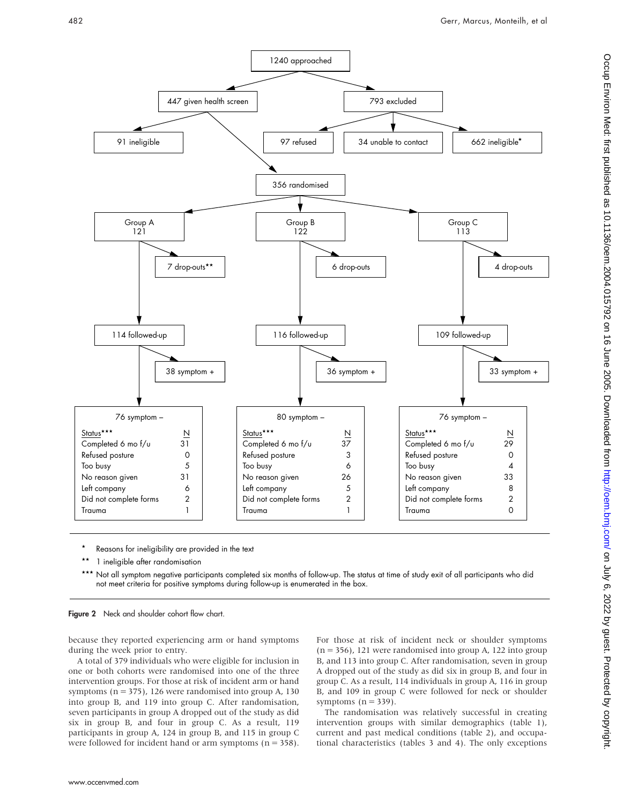

- Reasons for ineligibility are provided in the text
- 1 ineligible after randomisation

Not all symptom negative participants completed six months of follow-up. The status at time of study exit of all participants who did not meet criteria for positive symptoms during follow-up is enumerated in the box.



because they reported experiencing arm or hand symptoms during the week prior to entry.

A total of 379 individuals who were eligible for inclusion in one or both cohorts were randomised into one of the three intervention groups. For those at risk of incident arm or hand symptoms ( $n = 375$ ), 126 were randomised into group A, 130 into group B, and 119 into group C. After randomisation, seven participants in group A dropped out of the study as did six in group B, and four in group C. As a result, 119 participants in group A, 124 in group B, and 115 in group C were followed for incident hand or arm symptoms  $(n = 358)$ .

For those at risk of incident neck or shoulder symptoms  $(n = 356)$ , 121 were randomised into group A, 122 into group B, and 113 into group C. After randomisation, seven in group A dropped out of the study as did six in group B, and four in group C. As a result, 114 individuals in group A, 116 in group B, and 109 in group C were followed for neck or shoulder symptoms  $(n = 339)$ .

The randomisation was relatively successful in creating intervention groups with similar demographics (table 1), current and past medical conditions (table 2), and occupational characteristics (tables 3 and 4). The only exceptions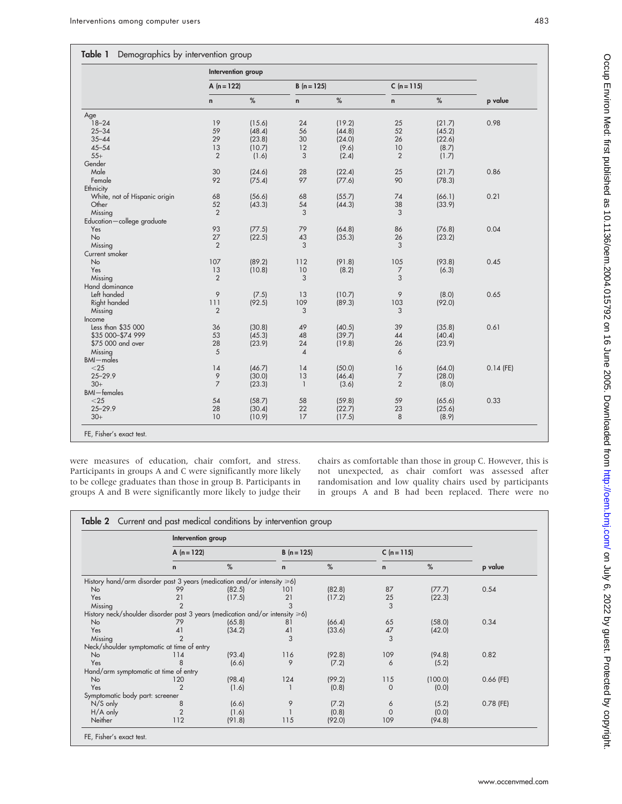## Table 1 Demographics by intervention group

|                               | Intervention group |        |                |        |                |        |             |  |
|-------------------------------|--------------------|--------|----------------|--------|----------------|--------|-------------|--|
|                               | A $(n = 122)$      |        | $B(n = 125)$   |        | $C (n = 115)$  |        |             |  |
|                               | $\mathsf{n}$       | $\%$   | n              | $\%$   | $\mathbf n$    | $\%$   | p value     |  |
| Age                           |                    |        |                |        |                |        |             |  |
| $18 - 24$                     | 19                 | (15.6) | 24             | (19.2) | 25             | (21.7) | 0.98        |  |
| $25 - 34$                     | 59                 | (48.4) | 56             | (44.8) | 52             | (45.2) |             |  |
| $35 - 44$                     | 29                 | (23.8) | 30             | (24.0) | 26             | (22.6) |             |  |
| $45 - 54$                     | 13                 | (10.7) | 12             | (9.6)  | 10             | (8.7)  |             |  |
| $55+$                         | $\overline{2}$     | (1.6)  | 3              | (2.4)  | $\overline{2}$ | (1.7)  |             |  |
| Gender                        |                    |        |                |        |                |        |             |  |
| Male                          | 30                 | (24.6) | 28             | (22.4) | 25             | (21.7) | 0.86        |  |
| Female                        | 92                 | (75.4) | 97             | (77.6) | 90             | (78.3) |             |  |
| Ethnicity                     |                    |        |                |        |                |        |             |  |
| White, not of Hispanic origin | 68                 | (56.6) | 68             | (55.7) | 74             | (66.1) | 0.21        |  |
| Other                         | 52                 | (43.3) | 54             | (44.3) | 38             | (33.9) |             |  |
| Missing                       | $\overline{2}$     |        | 3              |        | 3              |        |             |  |
| Education-college graduate    |                    |        |                |        |                |        |             |  |
| Yes                           | 93                 | (77.5) | 79             | (64.8) | 86             | (76.8) | 0.04        |  |
| <b>No</b>                     | 27                 | (22.5) | 43             | (35.3) | 26             | (23.2) |             |  |
| Missing                       | $\overline{2}$     |        | 3              |        | 3              |        |             |  |
| Current smoker                |                    |        |                |        |                |        |             |  |
| <b>No</b>                     | 107                | (89.2) | 112            | (91.8) | 105            | (93.8) | 0.45        |  |
| Yes                           | 13                 |        | 10             |        |                |        |             |  |
|                               |                    | (10.8) |                | (8.2)  | 7              | (6.3)  |             |  |
| Missing                       | $\overline{2}$     |        | 3              |        | 3              |        |             |  |
| Hand dominance                |                    |        |                |        |                |        |             |  |
| Left handed                   | 9                  | (7.5)  | 13             | (10.7) | 9              | (8.0)  | 0.65        |  |
| Right handed                  | 111                | (92.5) | 109            | (89.3) | 103            | (92.0) |             |  |
| Missing                       | $\overline{2}$     |        | 3              |        | 3              |        |             |  |
| Income                        |                    |        |                |        |                |        |             |  |
| Less than \$35 000            | 36                 | (30.8) | 49             | (40.5) | 39             | (35.8) | 0.61        |  |
| \$35 000-\$74 999             | 53                 | (45.3) | 48             | (39.7) | 44             | (40.4) |             |  |
| \$75 000 and over             | 28                 | (23.9) | 24             | (19.8) | 26             | (23.9) |             |  |
| Missing                       | 5                  |        | $\overline{4}$ |        | 6              |        |             |  |
| <b>BMI</b> -males             |                    |        |                |        |                |        |             |  |
| $<$ 25                        | 14                 | (46.7) | 14             | (50.0) | 16             | (64.0) | $0.14$ (FE) |  |
| $25 - 29.9$                   | 9                  | (30.0) | 13             | (46.4) | $\overline{7}$ | (28.0) |             |  |
| $30+$                         | $\overline{7}$     | (23.3) | $\mathbf{1}$   | (3.6)  | $\overline{2}$ | (8.0)  |             |  |
| <b>BMI-females</b>            |                    |        |                |        |                |        |             |  |
| $<$ 25                        | 54                 | (58.7) | 58             | (59.8) | 59             | (65.6) | 0.33        |  |
| $25 - 29.9$                   | 28                 | (30.4) | 22             | (22.7) | 23             | (25.6) |             |  |
| $30+$                         | 10                 | (10.9) | 17             | (17.5) | 8              | (8.9)  |             |  |

were measures of education, chair comfort, and stress. Participants in groups A and C were significantly more likely to be college graduates than those in group B. Participants in groups A and B were significantly more likely to judge their

chairs as comfortable than those in group C. However, this is not unexpected, as chair comfort was assessed after randomisation and low quality chairs used by participants in groups A and B had been replaced. There were no

|                                                                              | Intervention group |        |              |        |              |         |             |
|------------------------------------------------------------------------------|--------------------|--------|--------------|--------|--------------|---------|-------------|
|                                                                              | A $(n = 122)$      |        | $B(n = 125)$ |        | $C(n=115)$   |         |             |
|                                                                              | $\mathsf{n}$       | %      | $\mathsf{n}$ | %      | $\mathsf{n}$ | %       | p value     |
| History hand/arm disorder past 3 years (medication and/or intensity ≥6)      |                    |        |              |        |              |         |             |
| <b>No</b>                                                                    | 99                 | (82.5) | 101          | (82.8) | 87           | (77.7)  | 0.54        |
| Yes                                                                          | 21                 | (17.5) | 21           | (17.2) | 25           | (22.3)  |             |
| Missing                                                                      | $\overline{2}$     |        | 3            |        | 3            |         |             |
| History neck/shoulder disorder past 3 years (medication and/or intensity ≥6) |                    |        |              |        |              |         |             |
| <b>No</b>                                                                    | 79                 | (65.8) | 81           | (66.4) | 65           | (58.0)  | 0.34        |
| Yes                                                                          | 41                 | (34.2) | 41           | (33.6) | 47           | (42.0)  |             |
| Missing                                                                      | $\mathcal{P}$      |        | 3            |        | 3            |         |             |
| Neck/shoulder symptomatic at time of entry                                   |                    |        |              |        |              |         |             |
| No                                                                           | 114                | (93.4) | 116          | (92.8) | 109          | (94.8)  | 0.82        |
| Yes                                                                          | 8                  | (6.6)  | 9            | (7.2)  | 6            | (5.2)   |             |
| Hand/arm symptomatic at time of entry                                        |                    |        |              |        |              |         |             |
| No                                                                           | 120                | (98.4) | 124          | (99.2) | 115          | (100.0) | $0.66$ (FE) |
| Yes                                                                          | $\mathfrak{p}$     | (1.6)  |              | (0.8)  | $\Omega$     | (0.0)   |             |
| Symptomatic body part: screener                                              |                    |        |              |        |              |         |             |
| $N/S$ only                                                                   | 8                  | (6.6)  | 9            | (7.2)  | 6            | (5.2)   | $0.78$ (FE) |
| $H/A$ only                                                                   | $\overline{2}$     | (1.6)  |              | (0.8)  | $\mathbf 0$  | (0.0)   |             |
| Neither                                                                      | 112                | (91.8) | 115          | (92.0) | 109          | (94.8)  |             |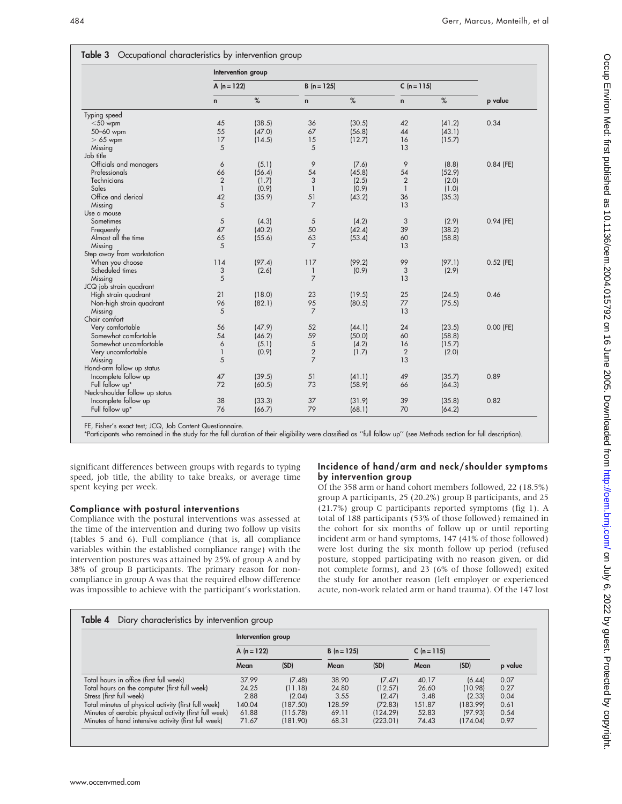|                                | Intervention group |        |                |        |                |        |             |  |
|--------------------------------|--------------------|--------|----------------|--------|----------------|--------|-------------|--|
|                                | A $(n = 122)$      |        | $B(n = 125)$   |        | $C(n = 115)$   |        |             |  |
|                                | $\mathsf{n}$       | %      | $\mathsf{n}$   | %      | $\mathbf{n}$   | %      | p value     |  |
| Typing speed                   |                    |        |                |        |                |        |             |  |
| $<$ 50 wpm                     | 45                 | (38.5) | 36             | (30.5) | 42             | (41.2) | 0.34        |  |
| 50-60 wpm                      | 55                 | (47.0) | 67             | (56.8) | 44             | (43.1) |             |  |
| $>65$ wpm                      | 17                 | (14.5) | 15             | (12.7) | 16             | (15.7) |             |  |
| Missing                        | 5                  |        | 5              |        | 13             |        |             |  |
| Job title                      |                    |        |                |        |                |        |             |  |
| Officials and managers         | 6                  | (5.1)  | 9              | (7.6)  | 9              | (8.8)  | $0.84$ (FE) |  |
| Professionals                  | 66                 | (56.4) | 54             | (45.8) | 54             | (52.9) |             |  |
| Technicians                    | $\overline{2}$     | (1.7)  | 3              | (2.5)  | $\overline{2}$ | (2.0)  |             |  |
| Sales                          | $\mathbf{1}$       | (0.9)  | $\mathbf{1}$   | (0.9)  | $\mathbf{1}$   | (1.0)  |             |  |
| Office and clerical            | 42                 | (35.9) | 51             | (43.2) | 36             | (35.3) |             |  |
| Missing                        | 5                  |        | $\overline{7}$ |        | 13             |        |             |  |
| Use a mouse                    |                    |        |                |        |                |        |             |  |
| Sometimes                      | 5                  | (4.3)  | 5              | (4.2)  | 3              | (2.9)  | $0.94$ (FE) |  |
| Frequently                     | 47                 | (40.2) | 50             | (42.4) | 39             | (38.2) |             |  |
| Almost all the time            | 65                 | (55.6) | 63             | (53.4) | 60             | (58.8) |             |  |
| Missing                        | 5                  |        | $\overline{7}$ |        | 13             |        |             |  |
| Step away from workstation     |                    |        |                |        |                |        |             |  |
| When you choose                | 114                | (97.4) | 117            | (99.2) | 99             | (97.1) | $0.52$ (FE) |  |
| Scheduled times                | 3                  | (2.6)  | $\mathbf{1}$   | (0.9)  | 3              | (2.9)  |             |  |
| Missing                        | 5                  |        | $\overline{7}$ |        | 13             |        |             |  |
| JCQ job strain quadrant        |                    |        |                |        |                |        |             |  |
| High strain quadrant           | 21                 | (18.0) | 23             | (19.5) | 25             | (24.5) | 0.46        |  |
| Non-high strain quadrant       | 96                 | (82.1) | 95             | (80.5) | 77             | (75.5) |             |  |
| Missing                        | 5                  |        | $\overline{7}$ |        | 13             |        |             |  |
| Chair comfort                  |                    |        |                |        |                |        |             |  |
| Very comfortable               | 56                 | (47.9) | 52             | (44.1) | 24             | (23.5) | $0.00$ (FE) |  |
| Somewhat comfortable           | 54                 | (46.2) | 59             | (50.0) | 60             | (58.8) |             |  |
| Somewhat uncomfortable         | 6                  | (5.1)  | 5              | (4.2)  | 16             | (15.7) |             |  |
| Very uncomfortable             | $\mathbf{1}$       | (0.9)  | $\overline{2}$ | (1.7)  | 2              | (2.0)  |             |  |
| Missing                        | 5                  |        | $\overline{7}$ |        | 13             |        |             |  |
| Hand-arm follow up status      |                    |        |                |        |                |        |             |  |
| Incomplete follow up           | 47                 | (39.5) | 51             | (41.1) | 49             | (35.7) | 0.89        |  |
| Full follow up*                | 72                 | (60.5) | 73             | (58.9) | 66             | (64.3) |             |  |
| Neck-shoulder follow up status |                    |        |                |        |                |        |             |  |
| Incomplete follow up           | 38                 | (33.3) | 37             | (31.9) | 39             | (35.8) | 0.82        |  |
| Full follow up*                | 76                 | (66.7) | 79             | (68.1) | 70             | (64.2) |             |  |

FE, Fisher's exact test; JCQ, Job Content Questionnaire.

\*Participants who remained in the study for the full duration of their eligibility were classified as ''full follow up'' (see Methods section for full description).

significant differences between groups with regards to typing speed, job title, the ability to take breaks, or average time spent keying per week.

#### Compliance with postural interventions

Compliance with the postural interventions was assessed at the time of the intervention and during two follow up visits (tables 5 and 6). Full compliance (that is, all compliance variables within the established compliance range) with the intervention postures was attained by 25% of group A and by 38% of group B participants. The primary reason for noncompliance in group A was that the required elbow difference was impossible to achieve with the participant's workstation.

# Incidence of hand/arm and neck/shoulder symptoms by intervention group

Of the 358 arm or hand cohort members followed, 22 (18.5%) group A participants, 25 (20.2%) group B participants, and 25 (21.7%) group C participants reported symptoms (fig 1). A total of 188 participants (53% of those followed) remained in the cohort for six months of follow up or until reporting incident arm or hand symptoms, 147 (41% of those followed) were lost during the six month follow up period (refused posture, stopped participating with no reason given, or did not complete forms), and 23 (6% of those followed) exited the study for another reason (left employer or experienced acute, non-work related arm or hand trauma). Of the 147 lost

|                                                        | Intervention group |          |              |          |               |          |         |  |
|--------------------------------------------------------|--------------------|----------|--------------|----------|---------------|----------|---------|--|
|                                                        | A $(n = 122)$      |          | $B(n = 125)$ |          | $C (n = 115)$ |          |         |  |
|                                                        | Mean               | (SD)     | Mean         | (SD)     | Mean          | (SD)     | p value |  |
| Total hours in office (first full week)                | 37.99              | (7.48)   | 38.90        | (7.47)   | 40.17         | (6.44)   | 0.07    |  |
| Total hours on the computer (first full week)          | 24.25              | (11.18)  | 24.80        | (12.57)  | 26.60         | (10.98)  | 0.27    |  |
| Stress (first full week)                               | 2.88               | (2.04)   | 3.55         | (2.47)   | 3.48          | (2.33)   | 0.04    |  |
| Total minutes of physical activity (first full week)   | 140.04             | (187.50) | 128.59       | (72.83)  | 151.87        | (183.99) | 0.61    |  |
| Minutes of aerobic physical activity (first full week) | 61.88              | (115.78) | 69.11        | (124.29) | 52.83         | (97.93)  | 0.54    |  |
| Minutes of hand intensive activity (first full week)   | 71.67              | (181.90) | 68.31        | (223.01) | 74.43         | (174.04) | 0.97    |  |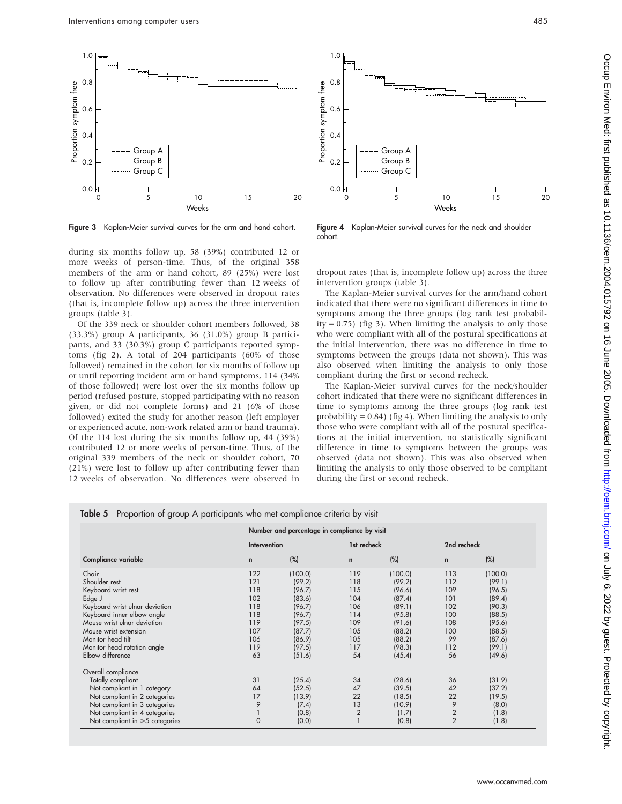

Figure 3 Kaplan-Meier survival curves for the arm and hand cohort.

during six months follow up, 58 (39%) contributed 12 or more weeks of person-time. Thus, of the original 358 members of the arm or hand cohort, 89 (25%) were lost to follow up after contributing fewer than 12 weeks of observation. No differences were observed in dropout rates (that is, incomplete follow up) across the three intervention groups (table 3).

Of the 339 neck or shoulder cohort members followed, 38 (33.3%) group A participants, 36 (31.0%) group B participants, and 33 (30.3%) group C participants reported symptoms (fig 2). A total of 204 participants (60% of those followed) remained in the cohort for six months of follow up or until reporting incident arm or hand symptoms, 114 (34% of those followed) were lost over the six months follow up period (refused posture, stopped participating with no reason given, or did not complete forms) and 21 (6% of those followed) exited the study for another reason (left employer or experienced acute, non-work related arm or hand trauma). Of the 114 lost during the six months follow up, 44 (39%) contributed 12 or more weeks of person-time. Thus, of the original 339 members of the neck or shoulder cohort, 70 (21%) were lost to follow up after contributing fewer than 12 weeks of observation. No differences were observed in



Figure 4 Kaplan-Meier survival curves for the neck and shoulder cohort.

dropout rates (that is, incomplete follow up) across the three intervention groups (table 3).

The Kaplan-Meier survival curves for the arm/hand cohort indicated that there were no significant differences in time to symptoms among the three groups (log rank test probability =  $0.75$ ) (fig 3). When limiting the analysis to only those who were compliant with all of the postural specifications at the initial intervention, there was no difference in time to symptoms between the groups (data not shown). This was also observed when limiting the analysis to only those compliant during the first or second recheck.

The Kaplan-Meier survival curves for the neck/shoulder cohort indicated that there were no significant differences in time to symptoms among the three groups (log rank test probability =  $0.84$ ) (fig 4). When limiting the analysis to only those who were compliant with all of the postural specifications at the initial intervention, no statistically significant difference in time to symptoms between the groups was observed (data not shown). This was also observed when limiting the analysis to only those observed to be compliant during the first or second recheck.

|                                      |              | Number and percentage in compliance by visit |                |         |                |         |
|--------------------------------------|--------------|----------------------------------------------|----------------|---------|----------------|---------|
|                                      | Intervention |                                              | 1st recheck    |         | 2nd recheck    |         |
| <b>Compliance variable</b>           | $\mathsf{n}$ | (%)                                          | $\mathbf n$    | (%)     | $\mathbf n$    | (%)     |
| Chair                                | 122          | (100.0)                                      | 119            | (100.0) | 113            | (100.0) |
| Shoulder rest                        | 121          | (99.2)                                       | 118            | (99.2)  | 112            | (99.1)  |
| Keyboard wrist rest                  | 118          | (96.7)                                       | 115            | (96.6)  | 109            | (96.5)  |
| Edge J                               | 102          | (83.6)                                       | 104            | (87.4)  | 101            | (89.4)  |
| Keyboard wrist ulnar deviation       | 118          | (96.7)                                       | 106            | (89.1)  | 102            | (90.3)  |
| Keyboard inner elbow angle           | 118          | (96.7)                                       | 114            | (95.8)  | 100            | (88.5)  |
| Mouse wrist ulnar deviation          | 119          | (97.5)                                       | 109            | (91.6)  | 108            | (95.6)  |
| Mouse wrist extension                | 107          | (87.7)                                       | 105            | (88.2)  | 100            | (88.5)  |
| Monitor head tilt                    | 106          | (86.9)                                       | 105            | (88.2)  | 99             | (87.6)  |
| Monitor head rotation angle          | 119          | (97.5)                                       | 117            | (98.3)  | 112            | (99.1)  |
| Elbow difference                     | 63           | (51.6)                                       | 54             | (45.4)  | 56             | (49.6)  |
| Overall compliance                   |              |                                              |                |         |                |         |
| Totally compliant                    | 31           | (25.4)                                       | 34             | (28.6)  | 36             | (31.9)  |
| Not compliant in 1 category          | 64           | (52.5)                                       | 47             | (39.5)  | 42             | (37.2)  |
| Not compliant in 2 categories        | 17           | (13.9)                                       | 22             | (18.5)  | 22             | (19.5)  |
| Not compliant in 3 categories        | 9            | (7.4)                                        | 13             | (10.9)  | 9              | (8.0)   |
| Not compliant in 4 categories        |              | (0.8)                                        | $\overline{2}$ | (1.7)   | $\overline{2}$ | (1.8)   |
| Not compliant in $\geq 5$ categories | $\Omega$     | (0.0)                                        |                | (0.8)   | $\overline{2}$ | (1.8)   |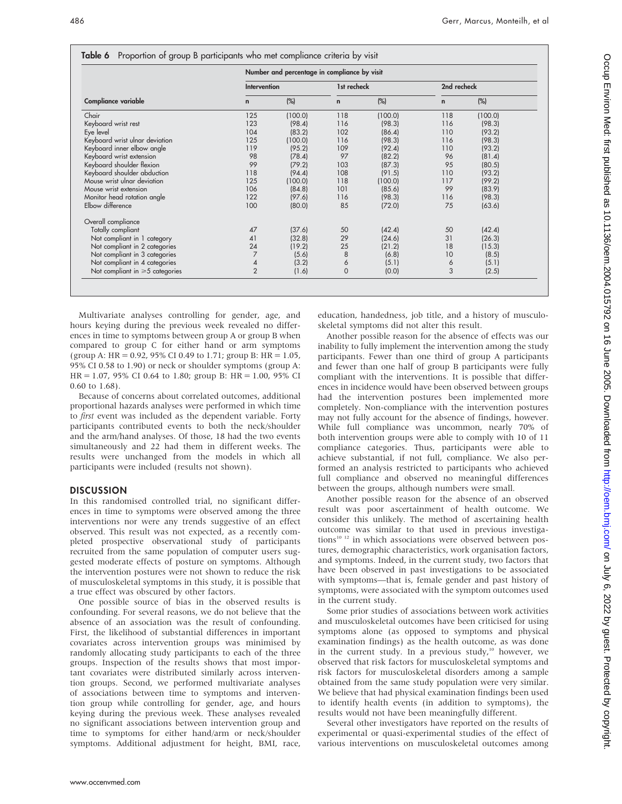|                                      | Number and percentage in compliance by visit |         |              |         |              |         |  |  |
|--------------------------------------|----------------------------------------------|---------|--------------|---------|--------------|---------|--|--|
|                                      | Intervention                                 |         | 1st recheck  |         | 2nd recheck  |         |  |  |
| <b>Compliance variable</b>           | $\mathbf n$                                  | (%)     | $\mathsf{n}$ | (%)     | $\mathsf{n}$ | $(\%)$  |  |  |
| Chair                                | 125                                          | (100.0) | 118          | (100.0) | 118          | (100.0) |  |  |
| Keyboard wrist rest                  | 123                                          | (98.4)  | 116          | (98.3)  | 116          | (98.3)  |  |  |
| Eye level                            | 104                                          | (83.2)  | 102          | (86.4)  | 110          | (93.2)  |  |  |
| Keyboard wrist ulnar deviation       | 125                                          | (100.0) | 116          | (98.3)  | 116          | (98.3)  |  |  |
| Keyboard inner elbow angle           | 119                                          | (95.2)  | 109          | (92.4)  | 110          | (93.2)  |  |  |
| Keyboard wrist extension             | 98                                           | (78.4)  | 97           | (82.2)  | 96           | (81.4)  |  |  |
| Keyboard shoulder flexion            | 99                                           | (79.2)  | 103          | (87.3)  | 95           | (80.5)  |  |  |
| Keyboard shoulder abduction          | 118                                          | (94.4)  | 108          | (91.5)  | 110          | (93.2)  |  |  |
| Mouse wrist ulnar deviation          | 125                                          | (100.0) | 118          | (100.0) | 117          | (99.2)  |  |  |
| Mouse wrist extension                | 106                                          | (84.8)  | 101          | (85.6)  | 99           | (83.9)  |  |  |
| Monitor head rotation angle          | 122                                          | (97.6)  | 116          | (98.3)  | 116          | (98.3)  |  |  |
| Elbow difference                     | 100                                          | (80.0)  | 85           | (72.0)  | 75           | (63.6)  |  |  |
| Overall compliance                   |                                              |         |              |         |              |         |  |  |
| Totally compliant                    | 47                                           | (37.6)  | 50           | (42.4)  | 50           | (42.4)  |  |  |
| Not compliant in 1 category          | 41                                           | (32.8)  | 29           | (24.6)  | 31           | (26.3)  |  |  |
| Not compliant in 2 categories        | 24                                           | (19.2)  | 25           | (21.2)  | 18           | (15.3)  |  |  |
| Not compliant in 3 categories        | 7                                            | (5.6)   | 8            | (6.8)   | 10           | (8.5)   |  |  |
| Not compliant in 4 categories        | 4                                            | (3.2)   | 6            | (5.1)   | 6            | (5.1)   |  |  |
| Not compliant in $\geq 5$ categories | $\overline{2}$                               | (1.6)   | $\mathbf 0$  | (0.0)   | 3            | (2.5)   |  |  |

Multivariate analyses controlling for gender, age, and hours keying during the previous week revealed no differences in time to symptoms between group A or group B when compared to group C for either hand or arm symptoms (group A: HR = 0.92, 95% CI 0.49 to 1.71; group B: HR = 1.05, 95% CI 0.58 to 1.90) or neck or shoulder symptoms (group A:  $HR = 1.07$ , 95% CI 0.64 to 1.80; group B:  $HR = 1.00$ , 95% CI 0.60 to 1.68).

Because of concerns about correlated outcomes, additional proportional hazards analyses were performed in which time to first event was included as the dependent variable. Forty participants contributed events to both the neck/shoulder and the arm/hand analyses. Of those, 18 had the two events simultaneously and 22 had them in different weeks. The results were unchanged from the models in which all participants were included (results not shown).

# **DISCUSSION**

In this randomised controlled trial, no significant differences in time to symptoms were observed among the three interventions nor were any trends suggestive of an effect observed. This result was not expected, as a recently completed prospective observational study of participants recruited from the same population of computer users suggested moderate effects of posture on symptoms. Although the intervention postures were not shown to reduce the risk of musculoskeletal symptoms in this study, it is possible that a true effect was obscured by other factors.

One possible source of bias in the observed results is confounding. For several reasons, we do not believe that the absence of an association was the result of confounding. First, the likelihood of substantial differences in important covariates across intervention groups was minimised by randomly allocating study participants to each of the three groups. Inspection of the results shows that most important covariates were distributed similarly across intervention groups. Second, we performed multivariate analyses of associations between time to symptoms and intervention group while controlling for gender, age, and hours keying during the previous week. These analyses revealed no significant associations between intervention group and time to symptoms for either hand/arm or neck/shoulder symptoms. Additional adjustment for height, BMI, race, education, handedness, job title, and a history of musculoskeletal symptoms did not alter this result.

Another possible reason for the absence of effects was our inability to fully implement the intervention among the study participants. Fewer than one third of group A participants and fewer than one half of group B participants were fully compliant with the interventions. It is possible that differences in incidence would have been observed between groups had the intervention postures been implemented more completely. Non-compliance with the intervention postures may not fully account for the absence of findings, however. While full compliance was uncommon, nearly 70% of both intervention groups were able to comply with 10 of 11 compliance categories. Thus, participants were able to achieve substantial, if not full, compliance. We also performed an analysis restricted to participants who achieved full compliance and observed no meaningful differences between the groups, although numbers were small.

Another possible reason for the absence of an observed result was poor ascertainment of health outcome. We consider this unlikely. The method of ascertaining health outcome was similar to that used in previous investigations<sup>10 12</sup> in which associations were observed between postures, demographic characteristics, work organisation factors, and symptoms. Indeed, in the current study, two factors that have been observed in past investigations to be associated with symptoms—that is, female gender and past history of symptoms, were associated with the symptom outcomes used in the current study.

Some prior studies of associations between work activities and musculoskeletal outcomes have been criticised for using symptoms alone (as opposed to symptoms and physical examination findings) as the health outcome, as was done in the current study. In a previous study, $10$  however, we observed that risk factors for musculoskeletal symptoms and risk factors for musculoskeletal disorders among a sample obtained from the same study population were very similar. We believe that had physical examination findings been used to identify health events (in addition to symptoms), the results would not have been meaningfully different.

Several other investigators have reported on the results of experimental or quasi-experimental studies of the effect of various interventions on musculoskeletal outcomes among